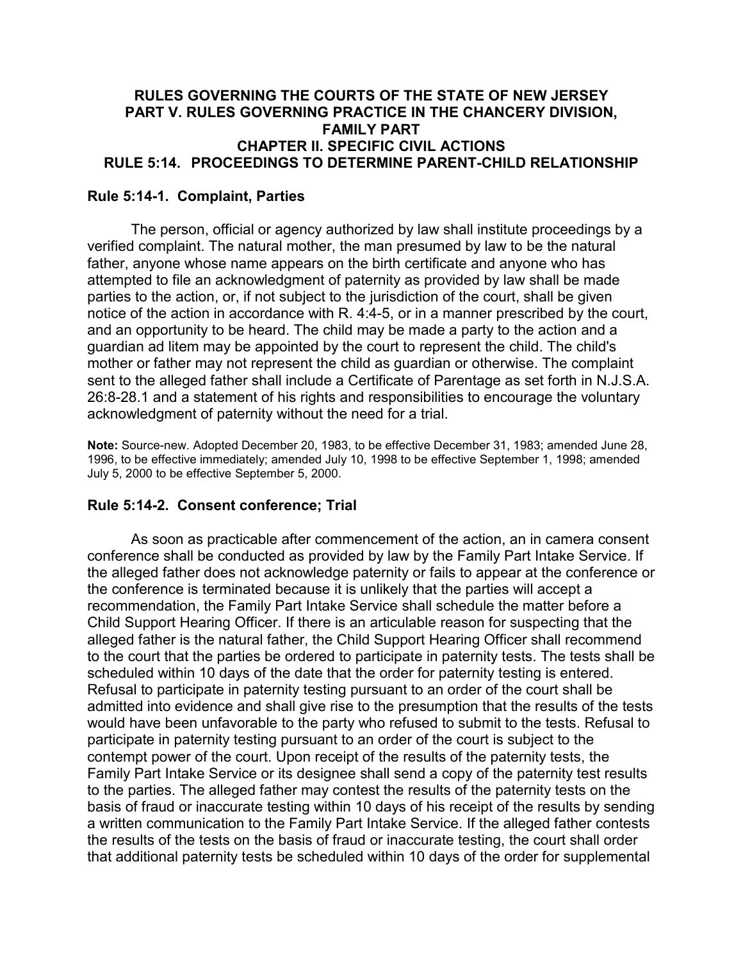# **RULES GOVERNING THE COURTS OF THE STATE OF NEW JERSEY PART V. RULES GOVERNING PRACTICE IN THE CHANCERY DIVISION, FAMILY PART CHAPTER II. SPECIFIC CIVIL ACTIONS RULE 5:14. PROCEEDINGS TO DETERMINE PARENT-CHILD RELATIONSHIP**

## **Rule 5:14-1. Complaint, Parties**

The person, official or agency authorized by law shall institute proceedings by a verified complaint. The natural mother, the man presumed by law to be the natural father, anyone whose name appears on the birth certificate and anyone who has attempted to file an acknowledgment of paternity as provided by law shall be made parties to the action, or, if not subject to the jurisdiction of the court, shall be given notice of the action in accordance with R. 4:4-5, or in a manner prescribed by the court, and an opportunity to be heard. The child may be made a party to the action and a guardian ad litem may be appointed by the court to represent the child. The child's mother or father may not represent the child as guardian or otherwise. The complaint sent to the alleged father shall include a Certificate of Parentage as set forth in N.J.S.A. 26:8-28.1 and a statement of his rights and responsibilities to encourage the voluntary acknowledgment of paternity without the need for a trial.

**Note:** Source-new. Adopted December 20, 1983, to be effective December 31, 1983; amended June 28, 1996, to be effective immediately; amended July 10, 1998 to be effective September 1, 1998; amended July 5, 2000 to be effective September 5, 2000.

## **Rule 5:14-2. Consent conference; Trial**

As soon as practicable after commencement of the action, an in camera consent conference shall be conducted as provided by law by the Family Part Intake Service. If the alleged father does not acknowledge paternity or fails to appear at the conference or the conference is terminated because it is unlikely that the parties will accept a recommendation, the Family Part Intake Service shall schedule the matter before a Child Support Hearing Officer. If there is an articulable reason for suspecting that the alleged father is the natural father, the Child Support Hearing Officer shall recommend to the court that the parties be ordered to participate in paternity tests. The tests shall be scheduled within 10 days of the date that the order for paternity testing is entered. Refusal to participate in paternity testing pursuant to an order of the court shall be admitted into evidence and shall give rise to the presumption that the results of the tests would have been unfavorable to the party who refused to submit to the tests. Refusal to participate in paternity testing pursuant to an order of the court is subject to the contempt power of the court. Upon receipt of the results of the paternity tests, the Family Part Intake Service or its designee shall send a copy of the paternity test results to the parties. The alleged father may contest the results of the paternity tests on the basis of fraud or inaccurate testing within 10 days of his receipt of the results by sending a written communication to the Family Part Intake Service. If the alleged father contests the results of the tests on the basis of fraud or inaccurate testing, the court shall order that additional paternity tests be scheduled within 10 days of the order for supplemental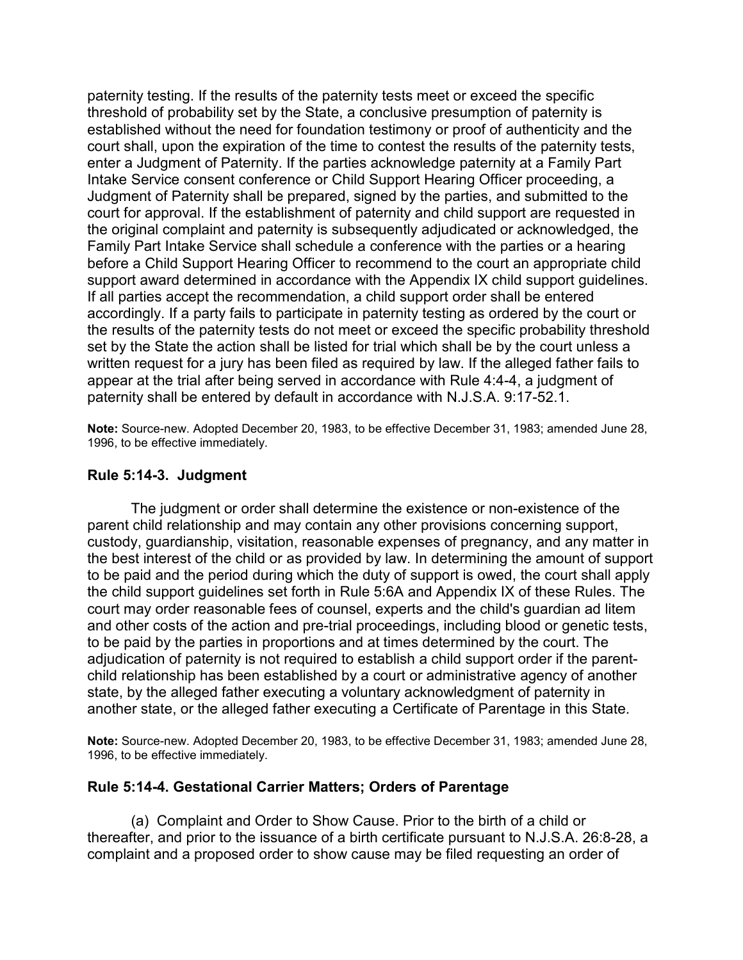paternity testing. If the results of the paternity tests meet or exceed the specific threshold of probability set by the State, a conclusive presumption of paternity is established without the need for foundation testimony or proof of authenticity and the court shall, upon the expiration of the time to contest the results of the paternity tests, enter a Judgment of Paternity. If the parties acknowledge paternity at a Family Part Intake Service consent conference or Child Support Hearing Officer proceeding, a Judgment of Paternity shall be prepared, signed by the parties, and submitted to the court for approval. If the establishment of paternity and child support are requested in the original complaint and paternity is subsequently adjudicated or acknowledged, the Family Part Intake Service shall schedule a conference with the parties or a hearing before a Child Support Hearing Officer to recommend to the court an appropriate child support award determined in accordance with the Appendix IX child support guidelines. If all parties accept the recommendation, a child support order shall be entered accordingly. If a party fails to participate in paternity testing as ordered by the court or the results of the paternity tests do not meet or exceed the specific probability threshold set by the State the action shall be listed for trial which shall be by the court unless a written request for a jury has been filed as required by law. If the alleged father fails to appear at the trial after being served in accordance with Rule 4:4-4, a judgment of paternity shall be entered by default in accordance with N.J.S.A. 9:17-52.1.

**Note:** Source-new. Adopted December 20, 1983, to be effective December 31, 1983; amended June 28, 1996, to be effective immediately.

#### **Rule 5:14-3. Judgment**

The judgment or order shall determine the existence or non-existence of the parent child relationship and may contain any other provisions concerning support, custody, guardianship, visitation, reasonable expenses of pregnancy, and any matter in the best interest of the child or as provided by law. In determining the amount of support to be paid and the period during which the duty of support is owed, the court shall apply the child support guidelines set forth in Rule 5:6A and Appendix IX of these Rules. The court may order reasonable fees of counsel, experts and the child's guardian ad litem and other costs of the action and pre-trial proceedings, including blood or genetic tests, to be paid by the parties in proportions and at times determined by the court. The adjudication of paternity is not required to establish a child support order if the parentchild relationship has been established by a court or administrative agency of another state, by the alleged father executing a voluntary acknowledgment of paternity in another state, or the alleged father executing a Certificate of Parentage in this State.

**Note:** Source-new. Adopted December 20, 1983, to be effective December 31, 1983; amended June 28, 1996, to be effective immediately.

## **Rule 5:14-4. Gestational Carrier Matters; Orders of Parentage**

(a) Complaint and Order to Show Cause. Prior to the birth of a child or thereafter, and prior to the issuance of a birth certificate pursuant to N.J.S.A. 26:8-28, a complaint and a proposed order to show cause may be filed requesting an order of